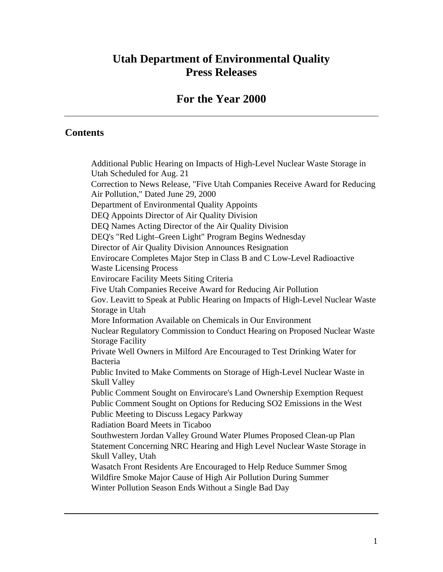# **Utah Department of Environmental Quality Press Releases**

# **For the Year 2000**

#### **Contents**

Additional Public Hearing on Impacts of High-Level Nuclear Waste Storage in Utah Scheduled for Aug. 21 Correction to News Release, "Five Utah Companies Receive Award for Reducing Air Pollution," Dated June 29, 2000 Department of Environmental Quality Appoints DEQ Appoints Director of Air Quality Division DEQ Names Acting Director of the Air Quality Division DEQ's "Red Light–Green Light" Program Begins Wednesday Director of Air Quality Division Announces Resignation Envirocare Completes Major Step in Class B and C Low-Level Radioactive Waste Licensing Process Envirocare Facility Meets Siting Criteria Five Utah Companies Receive Award for Reducing Air Pollution Gov. Leavitt to Speak at Public Hearing on Impacts of High-Level Nuclear Waste Storage in Utah More Information Available on Chemicals in Our Environment Nuclear Regulatory Commission to Conduct Hearing on Proposed Nuclear Waste Storage Facility Private Well Owners in Milford Are Encouraged to Test Drinking Water for Bacteria Public Invited to Make Comments on Storage of High-Level Nuclear Waste in Skull Valley Public Comment Sought on Envirocare's Land Ownership Exemption Request Public Comment Sought on Options for Reducing SO2 Emissions in the West Public Meeting to Discuss Legacy Parkway Radiation Board Meets in Ticaboo Southwestern Jordan Valley Ground Water Plumes Proposed Clean-up Plan Statement Concerning NRC Hearing and High Level Nuclear Waste Storage in Skull Valley, Utah Wasatch Front Residents Are Encouraged to Help Reduce Summer Smog Wildfire Smoke Major Cause of High Air Pollution During Summer Winter Pollution Season Ends Without a Single Bad Day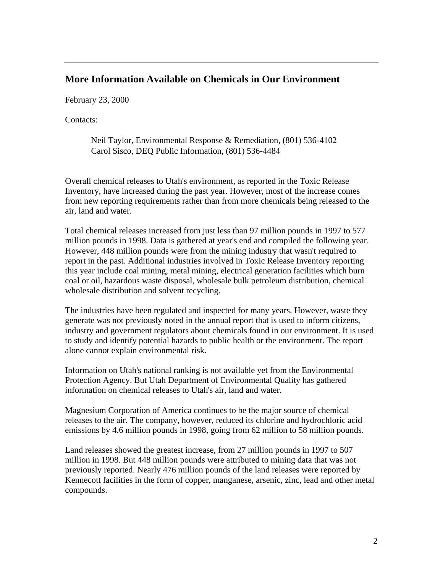#### **More Information Available on Chemicals in Our Environment**

February 23, 2000

Contacts:

Neil Taylor, Environmental Response & Remediation, (801) 536-4102 Carol Sisco, DEQ Public Information, (801) 536-4484

Overall chemical releases to Utah's environment, as reported in the Toxic Release Inventory, have increased during the past year. However, most of the increase comes from new reporting requirements rather than from more chemicals being released to the air, land and water.

Total chemical releases increased from just less than 97 million pounds in 1997 to 577 million pounds in 1998. Data is gathered at year's end and compiled the following year. However, 448 million pounds were from the mining industry that wasn't required to report in the past. Additional industries involved in Toxic Release Inventory reporting this year include coal mining, metal mining, electrical generation facilities which burn coal or oil, hazardous waste disposal, wholesale bulk petroleum distribution, chemical wholesale distribution and solvent recycling.

The industries have been regulated and inspected for many years. However, waste they generate was not previously noted in the annual report that is used to inform citizens, industry and government regulators about chemicals found in our environment. It is used to study and identify potential hazards to public health or the environment. The report alone cannot explain environmental risk.

Information on Utah's national ranking is not available yet from the Environmental Protection Agency. But Utah Department of Environmental Quality has gathered information on chemical releases to Utah's air, land and water.

Magnesium Corporation of America continues to be the major source of chemical releases to the air. The company, however, reduced its chlorine and hydrochloric acid emissions by 4.6 million pounds in 1998, going from 62 million to 58 million pounds.

Land releases showed the greatest increase, from 27 million pounds in 1997 to 507 million in 1998. But 448 million pounds were attributed to mining data that was not previously reported. Nearly 476 million pounds of the land releases were reported by Kennecott facilities in the form of copper, manganese, arsenic, zinc, lead and other metal compounds.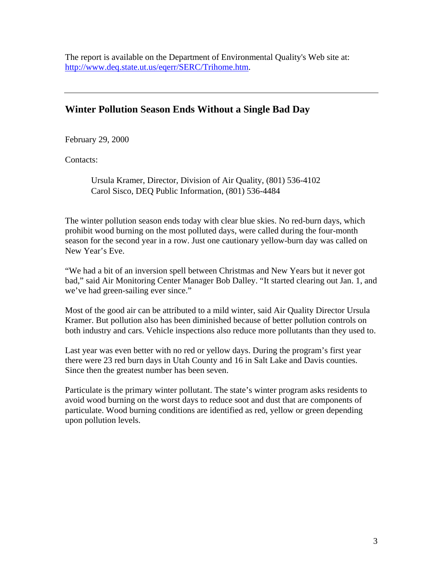The report is available on the Department of Environmental Quality's Web site at: http://www.deq.state.ut.us/eqerr/SERC/Trihome.htm.

# **Winter Pollution Season Ends Without a Single Bad Day**

February 29, 2000

Contacts:

Ursula Kramer, Director, Division of Air Quality, (801) 536-4102 Carol Sisco, DEQ Public Information, (801) 536-4484

The winter pollution season ends today with clear blue skies. No red-burn days, which prohibit wood burning on the most polluted days, were called during the four-month season for the second year in a row. Just one cautionary yellow-burn day was called on New Year's Eve.

"We had a bit of an inversion spell between Christmas and New Years but it never got bad," said Air Monitoring Center Manager Bob Dalley. "It started clearing out Jan. 1, and we've had green-sailing ever since."

Most of the good air can be attributed to a mild winter, said Air Quality Director Ursula Kramer. But pollution also has been diminished because of better pollution controls on both industry and cars. Vehicle inspections also reduce more pollutants than they used to.

Last year was even better with no red or yellow days. During the program's first year there were 23 red burn days in Utah County and 16 in Salt Lake and Davis counties. Since then the greatest number has been seven.

Particulate is the primary winter pollutant. The state's winter program asks residents to avoid wood burning on the worst days to reduce soot and dust that are components of particulate. Wood burning conditions are identified as red, yellow or green depending upon pollution levels.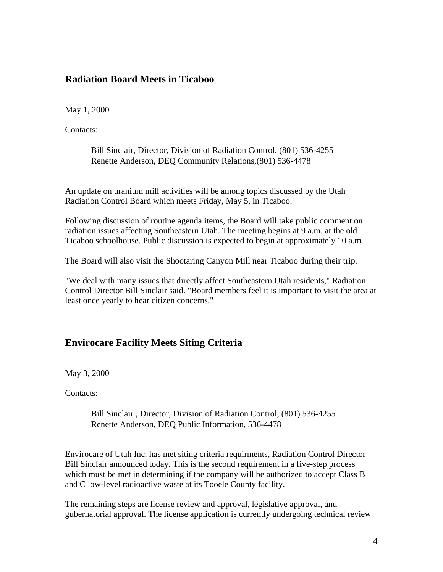### **Radiation Board Meets in Ticaboo**

May 1, 2000

Contacts:

Bill Sinclair, Director, Division of Radiation Control, (801) 536-4255 Renette Anderson, DEQ Community Relations,(801) 536-4478

An update on uranium mill activities will be among topics discussed by the Utah Radiation Control Board which meets Friday, May 5, in Ticaboo.

Following discussion of routine agenda items, the Board will take public comment on radiation issues affecting Southeastern Utah. The meeting begins at 9 a.m. at the old Ticaboo schoolhouse. Public discussion is expected to begin at approximately 10 a.m.

The Board will also visit the Shootaring Canyon Mill near Ticaboo during their trip.

"We deal with many issues that directly affect Southeastern Utah residents," Radiation Control Director Bill Sinclair said. "Board members feel it is important to visit the area at least once yearly to hear citizen concerns."

# **Envirocare Facility Meets Siting Criteria**

May 3, 2000

Contacts:

Bill Sinclair , Director, Division of Radiation Control, (801) 536-4255 Renette Anderson, DEQ Public Information, 536-4478

Envirocare of Utah Inc. has met siting criteria requirments, Radiation Control Director Bill Sinclair announced today. This is the second requirement in a five-step process which must be met in determining if the company will be authorized to accept Class B and C low-level radioactive waste at its Tooele County facility.

The remaining steps are license review and approval, legislative approval, and gubernatorial approval. The license application is currently undergoing technical review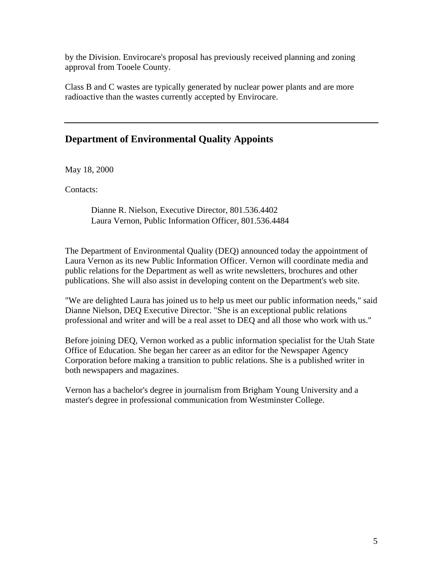by the Division. Envirocare's proposal has previously received planning and zoning approval from Tooele County.

Class B and C wastes are typically generated by nuclear power plants and are more radioactive than the wastes currently accepted by Envirocare.

#### **Department of Environmental Quality Appoints**

May 18, 2000

Contacts:

Dianne R. Nielson, Executive Director, 801.536.4402 Laura Vernon, Public Information Officer, 801.536.4484

The Department of Environmental Quality (DEQ) announced today the appointment of Laura Vernon as its new Public Information Officer. Vernon will coordinate media and public relations for the Department as well as write newsletters, brochures and other publications. She will also assist in developing content on the Department's web site.

"We are delighted Laura has joined us to help us meet our public information needs," said Dianne Nielson, DEQ Executive Director. "She is an exceptional public relations professional and writer and will be a real asset to DEQ and all those who work with us."

Before joining DEQ, Vernon worked as a public information specialist for the Utah State Office of Education. She began her career as an editor for the Newspaper Agency Corporation before making a transition to public relations. She is a published writer in both newspapers and magazines.

Vernon has a bachelor's degree in journalism from Brigham Young University and a master's degree in professional communication from Westminster College.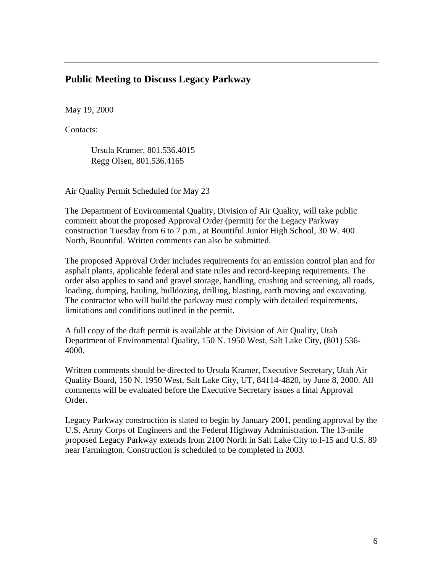#### **Public Meeting to Discuss Legacy Parkway**

May 19, 2000

Contacts:

Ursula Kramer, 801.536.4015 Regg Olsen, 801.536.4165

Air Quality Permit Scheduled for May 23

The Department of Environmental Quality, Division of Air Quality, will take public comment about the proposed Approval Order (permit) for the Legacy Parkway construction Tuesday from 6 to 7 p.m., at Bountiful Junior High School, 30 W. 400 North, Bountiful. Written comments can also be submitted.

The proposed Approval Order includes requirements for an emission control plan and for asphalt plants, applicable federal and state rules and record-keeping requirements. The order also applies to sand and gravel storage, handling, crushing and screening, all roads, loading, dumping, hauling, bulldozing, drilling, blasting, earth moving and excavating. The contractor who will build the parkway must comply with detailed requirements, limitations and conditions outlined in the permit.

A full copy of the draft permit is available at the Division of Air Quality, Utah Department of Environmental Quality, 150 N. 1950 West, Salt Lake City, (801) 536- 4000.

Written comments should be directed to Ursula Kramer, Executive Secretary, Utah Air Quality Board, 150 N. 1950 West, Salt Lake City, UT, 84114-4820, by June 8, 2000. All comments will be evaluated before the Executive Secretary issues a final Approval Order.

Legacy Parkway construction is slated to begin by January 2001, pending approval by the U.S. Army Corps of Engineers and the Federal Highway Administration. The 13-mile proposed Legacy Parkway extends from 2100 North in Salt Lake City to I-15 and U.S. 89 near Farmington. Construction is scheduled to be completed in 2003.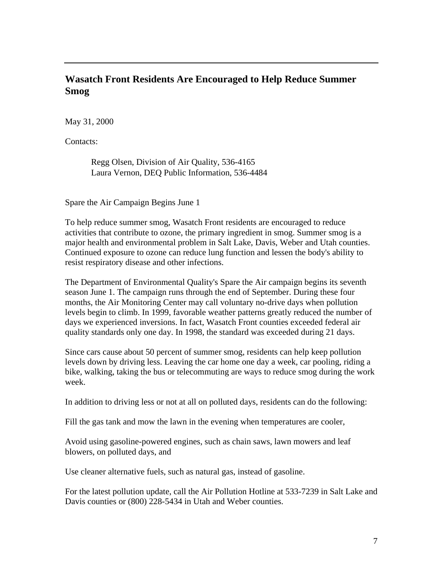# **Wasatch Front Residents Are Encouraged to Help Reduce Summer Smog**

May 31, 2000

Contacts:

Regg Olsen, Division of Air Quality, 536-4165 Laura Vernon, DEQ Public Information, 536-4484

Spare the Air Campaign Begins June 1

To help reduce summer smog, Wasatch Front residents are encouraged to reduce activities that contribute to ozone, the primary ingredient in smog. Summer smog is a major health and environmental problem in Salt Lake, Davis, Weber and Utah counties. Continued exposure to ozone can reduce lung function and lessen the body's ability to resist respiratory disease and other infections.

The Department of Environmental Quality's Spare the Air campaign begins its seventh season June 1. The campaign runs through the end of September. During these four months, the Air Monitoring Center may call voluntary no-drive days when pollution levels begin to climb. In 1999, favorable weather patterns greatly reduced the number of days we experienced inversions. In fact, Wasatch Front counties exceeded federal air quality standards only one day. In 1998, the standard was exceeded during 21 days.

Since cars cause about 50 percent of summer smog, residents can help keep pollution levels down by driving less. Leaving the car home one day a week, car pooling, riding a bike, walking, taking the bus or telecommuting are ways to reduce smog during the work week.

In addition to driving less or not at all on polluted days, residents can do the following:

Fill the gas tank and mow the lawn in the evening when temperatures are cooler,

Avoid using gasoline-powered engines, such as chain saws, lawn mowers and leaf blowers, on polluted days, and

Use cleaner alternative fuels, such as natural gas, instead of gasoline.

For the latest pollution update, call the Air Pollution Hotline at 533-7239 in Salt Lake and Davis counties or (800) 228-5434 in Utah and Weber counties.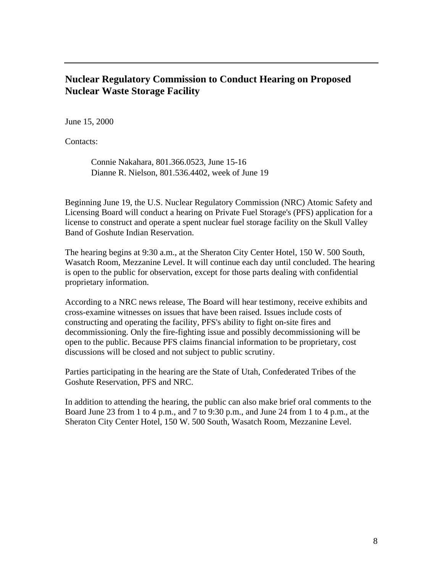### **Nuclear Regulatory Commission to Conduct Hearing on Proposed Nuclear Waste Storage Facility**

June 15, 2000

Contacts:

Connie Nakahara, 801.366.0523, June 15-16 Dianne R. Nielson, 801.536.4402, week of June 19

Beginning June 19, the U.S. Nuclear Regulatory Commission (NRC) Atomic Safety and Licensing Board will conduct a hearing on Private Fuel Storage's (PFS) application for a license to construct and operate a spent nuclear fuel storage facility on the Skull Valley Band of Goshute Indian Reservation.

The hearing begins at 9:30 a.m., at the Sheraton City Center Hotel, 150 W. 500 South, Wasatch Room, Mezzanine Level. It will continue each day until concluded. The hearing is open to the public for observation, except for those parts dealing with confidential proprietary information.

According to a NRC news release, The Board will hear testimony, receive exhibits and cross-examine witnesses on issues that have been raised. Issues include costs of constructing and operating the facility, PFS's ability to fight on-site fires and decommissioning. Only the fire-fighting issue and possibly decommissioning will be open to the public. Because PFS claims financial information to be proprietary, cost discussions will be closed and not subject to public scrutiny.

Parties participating in the hearing are the State of Utah, Confederated Tribes of the Goshute Reservation, PFS and NRC.

In addition to attending the hearing, the public can also make brief oral comments to the Board June 23 from 1 to 4 p.m., and 7 to 9:30 p.m., and June 24 from 1 to 4 p.m., at the Sheraton City Center Hotel, 150 W. 500 South, Wasatch Room, Mezzanine Level.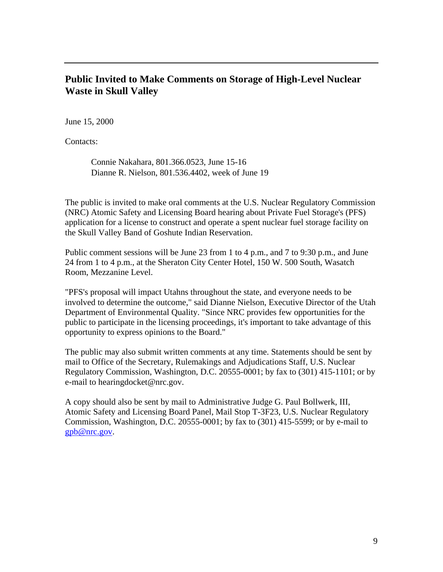### **Public Invited to Make Comments on Storage of High-Level Nuclear Waste in Skull Valley**

June 15, 2000

Contacts:

Connie Nakahara, 801.366.0523, June 15-16 Dianne R. Nielson, 801.536.4402, week of June 19

The public is invited to make oral comments at the U.S. Nuclear Regulatory Commission (NRC) Atomic Safety and Licensing Board hearing about Private Fuel Storage's (PFS) application for a license to construct and operate a spent nuclear fuel storage facility on the Skull Valley Band of Goshute Indian Reservation.

Public comment sessions will be June 23 from 1 to 4 p.m., and 7 to 9:30 p.m., and June 24 from 1 to 4 p.m., at the Sheraton City Center Hotel, 150 W. 500 South, Wasatch Room, Mezzanine Level.

"PFS's proposal will impact Utahns throughout the state, and everyone needs to be involved to determine the outcome," said Dianne Nielson, Executive Director of the Utah Department of Environmental Quality. "Since NRC provides few opportunities for the public to participate in the licensing proceedings, it's important to take advantage of this opportunity to express opinions to the Board."

The public may also submit written comments at any time. Statements should be sent by mail to Office of the Secretary, Rulemakings and Adjudications Staff, U.S. Nuclear Regulatory Commission, Washington, D.C. 20555-0001; by fax to (301) 415-1101; or by e-mail to hearingdocket@nrc.gov.

A copy should also be sent by mail to Administrative Judge G. Paul Bollwerk, III, Atomic Safety and Licensing Board Panel, Mail Stop T-3F23, U.S. Nuclear Regulatory Commission, Washington, D.C. 20555-0001; by fax to (301) 415-5599; or by e-mail to gpb@nrc.gov.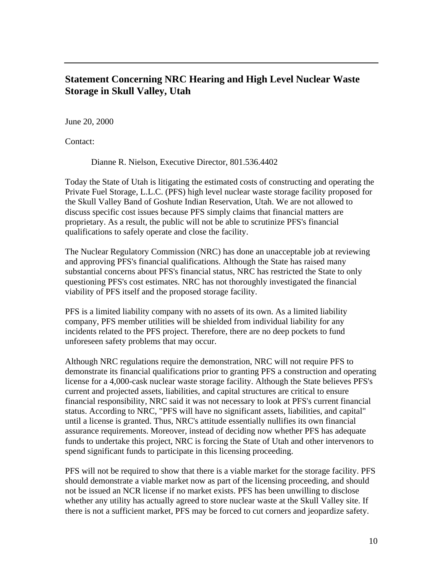# **Statement Concerning NRC Hearing and High Level Nuclear Waste Storage in Skull Valley, Utah**

June 20, 2000

Contact:

Dianne R. Nielson, Executive Director, 801.536.4402

Today the State of Utah is litigating the estimated costs of constructing and operating the Private Fuel Storage, L.L.C. (PFS) high level nuclear waste storage facility proposed for the Skull Valley Band of Goshute Indian Reservation, Utah. We are not allowed to discuss specific cost issues because PFS simply claims that financial matters are proprietary. As a result, the public will not be able to scrutinize PFS's financial qualifications to safely operate and close the facility.

The Nuclear Regulatory Commission (NRC) has done an unacceptable job at reviewing and approving PFS's financial qualifications. Although the State has raised many substantial concerns about PFS's financial status, NRC has restricted the State to only questioning PFS's cost estimates. NRC has not thoroughly investigated the financial viability of PFS itself and the proposed storage facility.

PFS is a limited liability company with no assets of its own. As a limited liability company, PFS member utilities will be shielded from individual liability for any incidents related to the PFS project. Therefore, there are no deep pockets to fund unforeseen safety problems that may occur.

Although NRC regulations require the demonstration, NRC will not require PFS to demonstrate its financial qualifications prior to granting PFS a construction and operating license for a 4,000-cask nuclear waste storage facility. Although the State believes PFS's current and projected assets, liabilities, and capital structures are critical to ensure financial responsibility, NRC said it was not necessary to look at PFS's current financial status. According to NRC, "PFS will have no significant assets, liabilities, and capital" until a license is granted. Thus, NRC's attitude essentially nullifies its own financial assurance requirements. Moreover, instead of deciding now whether PFS has adequate funds to undertake this project, NRC is forcing the State of Utah and other intervenors to spend significant funds to participate in this licensing proceeding.

PFS will not be required to show that there is a viable market for the storage facility. PFS should demonstrate a viable market now as part of the licensing proceeding, and should not be issued an NCR license if no market exists. PFS has been unwilling to disclose whether any utility has actually agreed to store nuclear waste at the Skull Valley site. If there is not a sufficient market, PFS may be forced to cut corners and jeopardize safety.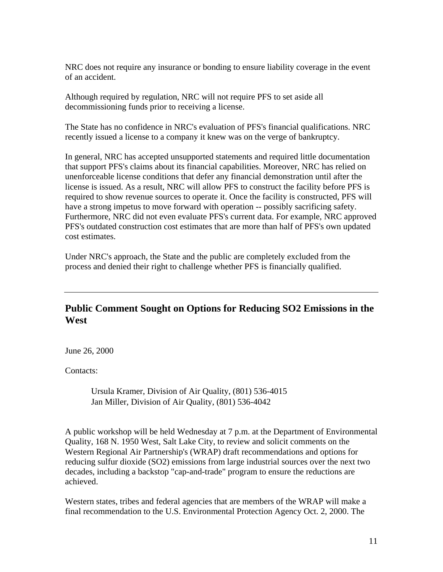NRC does not require any insurance or bonding to ensure liability coverage in the event of an accident.

Although required by regulation, NRC will not require PFS to set aside all decommissioning funds prior to receiving a license.

The State has no confidence in NRC's evaluation of PFS's financial qualifications. NRC recently issued a license to a company it knew was on the verge of bankruptcy.

In general, NRC has accepted unsupported statements and required little documentation that support PFS's claims about its financial capabilities. Moreover, NRC has relied on unenforceable license conditions that defer any financial demonstration until after the license is issued. As a result, NRC will allow PFS to construct the facility before PFS is required to show revenue sources to operate it. Once the facility is constructed, PFS will have a strong impetus to move forward with operation -- possibly sacrificing safety. Furthermore, NRC did not even evaluate PFS's current data. For example, NRC approved PFS's outdated construction cost estimates that are more than half of PFS's own updated cost estimates.

Under NRC's approach, the State and the public are completely excluded from the process and denied their right to challenge whether PFS is financially qualified.

# **Public Comment Sought on Options for Reducing SO2 Emissions in the West**

June 26, 2000

Contacts:

Ursula Kramer, Division of Air Quality, (801) 536-4015 Jan Miller, Division of Air Quality, (801) 536-4042

A public workshop will be held Wednesday at 7 p.m. at the Department of Environmental Quality, 168 N. 1950 West, Salt Lake City, to review and solicit comments on the Western Regional Air Partnership's (WRAP) draft recommendations and options for reducing sulfur dioxide (SO2) emissions from large industrial sources over the next two decades, including a backstop "cap-and-trade" program to ensure the reductions are achieved.

Western states, tribes and federal agencies that are members of the WRAP will make a final recommendation to the U.S. Environmental Protection Agency Oct. 2, 2000. The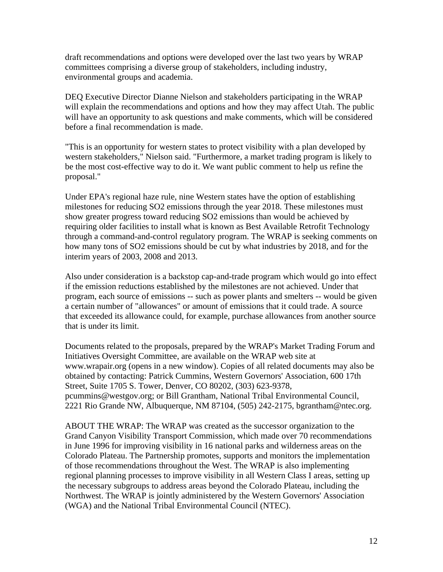draft recommendations and options were developed over the last two years by WRAP committees comprising a diverse group of stakeholders, including industry, environmental groups and academia.

DEQ Executive Director Dianne Nielson and stakeholders participating in the WRAP will explain the recommendations and options and how they may affect Utah. The public will have an opportunity to ask questions and make comments, which will be considered before a final recommendation is made.

"This is an opportunity for western states to protect visibility with a plan developed by western stakeholders," Nielson said. "Furthermore, a market trading program is likely to be the most cost-effective way to do it. We want public comment to help us refine the proposal."

Under EPA's regional haze rule, nine Western states have the option of establishing milestones for reducing SO2 emissions through the year 2018. These milestones must show greater progress toward reducing SO2 emissions than would be achieved by requiring older facilities to install what is known as Best Available Retrofit Technology through a command-and-control regulatory program. The WRAP is seeking comments on how many tons of SO2 emissions should be cut by what industries by 2018, and for the interim years of 2003, 2008 and 2013.

Also under consideration is a backstop cap-and-trade program which would go into effect if the emission reductions established by the milestones are not achieved. Under that program, each source of emissions -- such as power plants and smelters -- would be given a certain number of "allowances" or amount of emissions that it could trade. A source that exceeded its allowance could, for example, purchase allowances from another source that is under its limit.

Documents related to the proposals, prepared by the WRAP's Market Trading Forum and Initiatives Oversight Committee, are available on the WRAP web site at www.wrapair.org (opens in a new window). Copies of all related documents may also be obtained by contacting: Patrick Cummins, Western Governors' Association, 600 17th Street, Suite 1705 S. Tower, Denver, CO 80202, (303) 623-9378, pcummins@westgov.org; or Bill Grantham, National Tribal Environmental Council, 2221 Rio Grande NW, Albuquerque, NM 87104, (505) 242-2175, bgrantham@ntec.org.

ABOUT THE WRAP: The WRAP was created as the successor organization to the Grand Canyon Visibility Transport Commission, which made over 70 recommendations in June 1996 for improving visibility in 16 national parks and wilderness areas on the Colorado Plateau. The Partnership promotes, supports and monitors the implementation of those recommendations throughout the West. The WRAP is also implementing regional planning processes to improve visibility in all Western Class I areas, setting up the necessary subgroups to address areas beyond the Colorado Plateau, including the Northwest. The WRAP is jointly administered by the Western Governors' Association (WGA) and the National Tribal Environmental Council (NTEC).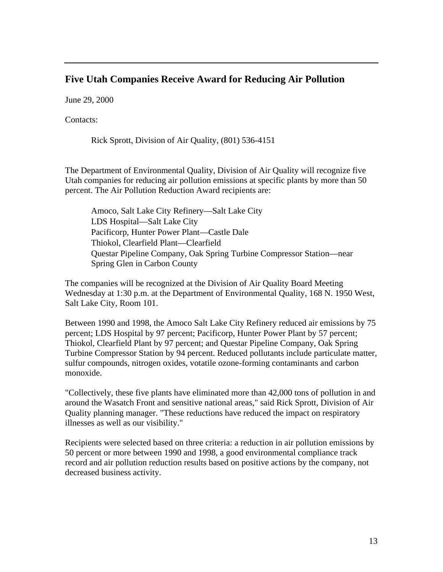#### **Five Utah Companies Receive Award for Reducing Air Pollution**

June 29, 2000

Contacts:

Rick Sprott, Division of Air Quality, (801) 536-4151

The Department of Environmental Quality, Division of Air Quality will recognize five Utah companies for reducing air pollution emissions at specific plants by more than 50 percent. The Air Pollution Reduction Award recipients are:

Amoco, Salt Lake City Refinery—Salt Lake City LDS Hospital—Salt Lake City Pacificorp, Hunter Power Plant—Castle Dale Thiokol, Clearfield Plant—Clearfield Questar Pipeline Company, Oak Spring Turbine Compressor Station—near Spring Glen in Carbon County

The companies will be recognized at the Division of Air Quality Board Meeting Wednesday at 1:30 p.m. at the Department of Environmental Quality, 168 N. 1950 West, Salt Lake City, Room 101.

Between 1990 and 1998, the Amoco Salt Lake City Refinery reduced air emissions by 75 percent; LDS Hospital by 97 percent; Pacificorp, Hunter Power Plant by 57 percent; Thiokol, Clearfield Plant by 97 percent; and Questar Pipeline Company, Oak Spring Turbine Compressor Station by 94 percent. Reduced pollutants include particulate matter, sulfur compounds, nitrogen oxides, votatile ozone-forming contaminants and carbon monoxide.

"Collectively, these five plants have eliminated more than 42,000 tons of pollution in and around the Wasatch Front and sensitive national areas," said Rick Sprott, Division of Air Quality planning manager. "These reductions have reduced the impact on respiratory illnesses as well as our visibility."

Recipients were selected based on three criteria: a reduction in air pollution emissions by 50 percent or more between 1990 and 1998, a good environmental compliance track record and air pollution reduction results based on positive actions by the company, not decreased business activity.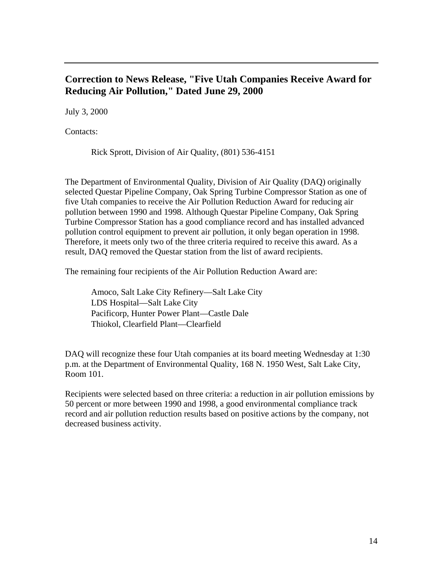# **Correction to News Release, "Five Utah Companies Receive Award for Reducing Air Pollution," Dated June 29, 2000**

July 3, 2000

Contacts:

Rick Sprott, Division of Air Quality, (801) 536-4151

The Department of Environmental Quality, Division of Air Quality (DAQ) originally selected Questar Pipeline Company, Oak Spring Turbine Compressor Station as one of five Utah companies to receive the Air Pollution Reduction Award for reducing air pollution between 1990 and 1998. Although Questar Pipeline Company, Oak Spring Turbine Compressor Station has a good compliance record and has installed advanced pollution control equipment to prevent air pollution, it only began operation in 1998. Therefore, it meets only two of the three criteria required to receive this award. As a result, DAQ removed the Questar station from the list of award recipients.

The remaining four recipients of the Air Pollution Reduction Award are:

Amoco, Salt Lake City Refinery—Salt Lake City LDS Hospital—Salt Lake City Pacificorp, Hunter Power Plant—Castle Dale Thiokol, Clearfield Plant—Clearfield

DAQ will recognize these four Utah companies at its board meeting Wednesday at 1:30 p.m. at the Department of Environmental Quality, 168 N. 1950 West, Salt Lake City, Room 101.

Recipients were selected based on three criteria: a reduction in air pollution emissions by 50 percent or more between 1990 and 1998, a good environmental compliance track record and air pollution reduction results based on positive actions by the company, not decreased business activity.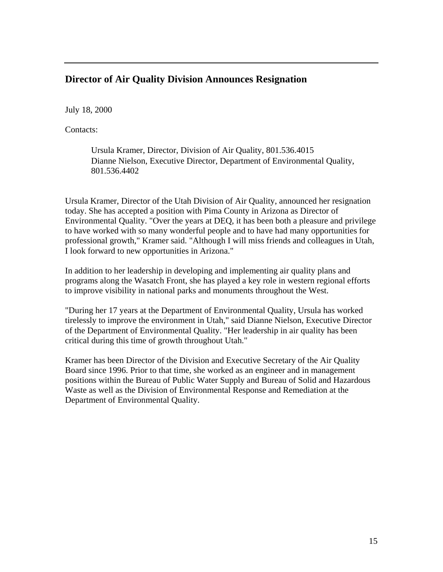### **Director of Air Quality Division Announces Resignation**

July 18, 2000

Contacts:

Ursula Kramer, Director, Division of Air Quality, 801.536.4015 Dianne Nielson, Executive Director, Department of Environmental Quality, 801.536.4402

Ursula Kramer, Director of the Utah Division of Air Quality, announced her resignation today. She has accepted a position with Pima County in Arizona as Director of Environmental Quality. "Over the years at DEQ, it has been both a pleasure and privilege to have worked with so many wonderful people and to have had many opportunities for professional growth," Kramer said. "Although I will miss friends and colleagues in Utah, I look forward to new opportunities in Arizona."

In addition to her leadership in developing and implementing air quality plans and programs along the Wasatch Front, she has played a key role in western regional efforts to improve visibility in national parks and monuments throughout the West.

"During her 17 years at the Department of Environmental Quality, Ursula has worked tirelessly to improve the environment in Utah," said Dianne Nielson, Executive Director of the Department of Environmental Quality. "Her leadership in air quality has been critical during this time of growth throughout Utah."

Kramer has been Director of the Division and Executive Secretary of the Air Quality Board since 1996. Prior to that time, she worked as an engineer and in management positions within the Bureau of Public Water Supply and Bureau of Solid and Hazardous Waste as well as the Division of Environmental Response and Remediation at the Department of Environmental Quality.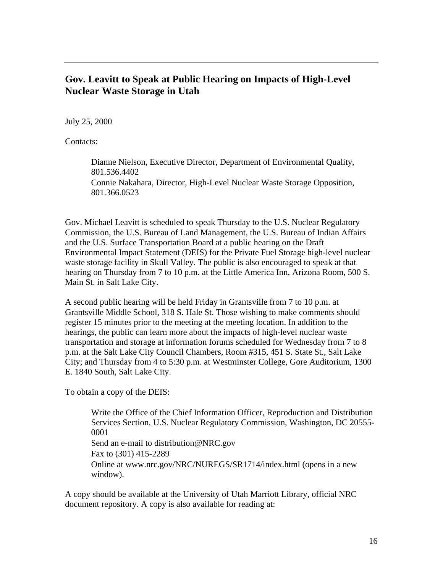### **Gov. Leavitt to Speak at Public Hearing on Impacts of High-Level Nuclear Waste Storage in Utah**

July 25, 2000

Contacts:

Dianne Nielson, Executive Director, Department of Environmental Quality, 801.536.4402 Connie Nakahara, Director, High-Level Nuclear Waste Storage Opposition, 801.366.0523

Gov. Michael Leavitt is scheduled to speak Thursday to the U.S. Nuclear Regulatory Commission, the U.S. Bureau of Land Management, the U.S. Bureau of Indian Affairs and the U.S. Surface Transportation Board at a public hearing on the Draft Environmental Impact Statement (DEIS) for the Private Fuel Storage high-level nuclear waste storage facility in Skull Valley. The public is also encouraged to speak at that hearing on Thursday from 7 to 10 p.m. at the Little America Inn, Arizona Room, 500 S. Main St. in Salt Lake City.

A second public hearing will be held Friday in Grantsville from 7 to 10 p.m. at Grantsville Middle School, 318 S. Hale St. Those wishing to make comments should register 15 minutes prior to the meeting at the meeting location. In addition to the hearings, the public can learn more about the impacts of high-level nuclear waste transportation and storage at information forums scheduled for Wednesday from 7 to 8 p.m. at the Salt Lake City Council Chambers, Room #315, 451 S. State St., Salt Lake City; and Thursday from 4 to 5:30 p.m. at Westminster College, Gore Auditorium, 1300 E. 1840 South, Salt Lake City.

To obtain a copy of the DEIS:

Write the Office of the Chief Information Officer, Reproduction and Distribution Services Section, U.S. Nuclear Regulatory Commission, Washington, DC 20555- 0001 Send an e-mail to distribution@NRC.gov Fax to (301) 415-2289 Online at www.nrc.gov/NRC/NUREGS/SR1714/index.html (opens in a new window).

A copy should be available at the University of Utah Marriott Library, official NRC document repository. A copy is also available for reading at: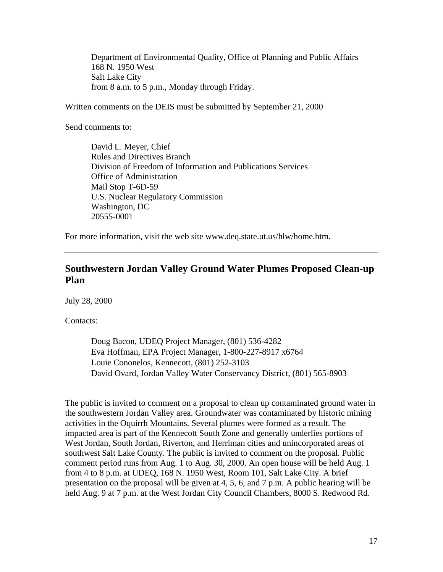Department of Environmental Quality, Office of Planning and Public Affairs 168 N. 1950 West Salt Lake City from 8 a.m. to 5 p.m., Monday through Friday.

Written comments on the DEIS must be submitted by September 21, 2000

Send comments to:

David L. Meyer, Chief Rules and Directives Branch Division of Freedom of Information and Publications Services Office of Administration Mail Stop T-6D-59 U.S. Nuclear Regulatory Commission Washington, DC 20555-0001

For more information, visit the web site www.deq.state.ut.us/hlw/home.htm.

# **Southwestern Jordan Valley Ground Water Plumes Proposed Clean-up Plan**

July 28, 2000

Contacts:

Doug Bacon, UDEQ Project Manager, (801) 536-4282 Eva Hoffman, EPA Project Manager, 1-800-227-8917 x6764 Louie Cononelos, Kennecott, (801) 252-3103 David Ovard, Jordan Valley Water Conservancy District, (801) 565-8903

The public is invited to comment on a proposal to clean up contaminated ground water in the southwestern Jordan Valley area. Groundwater was contaminated by historic mining activities in the Oquirrh Mountains. Several plumes were formed as a result. The impacted area is part of the Kennecott South Zone and generally underlies portions of West Jordan, South Jordan, Riverton, and Herriman cities and unincorporated areas of southwest Salt Lake County. The public is invited to comment on the proposal. Public comment period runs from Aug. 1 to Aug. 30, 2000. An open house will be held Aug. 1 from 4 to 8 p.m. at UDEQ, 168 N. 1950 West, Room 101, Salt Lake City. A brief presentation on the proposal will be given at 4, 5, 6, and 7 p.m. A public hearing will be held Aug. 9 at 7 p.m. at the West Jordan City Council Chambers, 8000 S. Redwood Rd.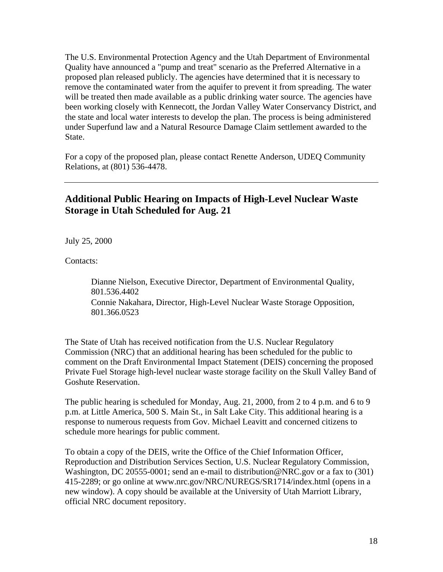The U.S. Environmental Protection Agency and the Utah Department of Environmental Quality have announced a "pump and treat" scenario as the Preferred Alternative in a proposed plan released publicly. The agencies have determined that it is necessary to remove the contaminated water from the aquifer to prevent it from spreading. The water will be treated then made available as a public drinking water source. The agencies have been working closely with Kennecott, the Jordan Valley Water Conservancy District, and the state and local water interests to develop the plan. The process is being administered under Superfund law and a Natural Resource Damage Claim settlement awarded to the State.

For a copy of the proposed plan, please contact Renette Anderson, UDEQ Community Relations, at (801) 536-4478.

# **Additional Public Hearing on Impacts of High-Level Nuclear Waste Storage in Utah Scheduled for Aug. 21**

July 25, 2000

Contacts:

Dianne Nielson, Executive Director, Department of Environmental Quality, 801.536.4402 Connie Nakahara, Director, High-Level Nuclear Waste Storage Opposition, 801.366.0523

The State of Utah has received notification from the U.S. Nuclear Regulatory Commission (NRC) that an additional hearing has been scheduled for the public to comment on the Draft Environmental Impact Statement (DEIS) concerning the proposed Private Fuel Storage high-level nuclear waste storage facility on the Skull Valley Band of Goshute Reservation.

The public hearing is scheduled for Monday, Aug. 21, 2000, from 2 to 4 p.m. and 6 to 9 p.m. at Little America, 500 S. Main St., in Salt Lake City. This additional hearing is a response to numerous requests from Gov. Michael Leavitt and concerned citizens to schedule more hearings for public comment.

To obtain a copy of the DEIS, write the Office of the Chief Information Officer, Reproduction and Distribution Services Section, U.S. Nuclear Regulatory Commission, Washington, DC 20555-0001; send an e-mail to distribution@NRC.gov or a fax to (301) 415-2289; or go online at www.nrc.gov/NRC/NUREGS/SR1714/index.html (opens in a new window). A copy should be available at the University of Utah Marriott Library, official NRC document repository.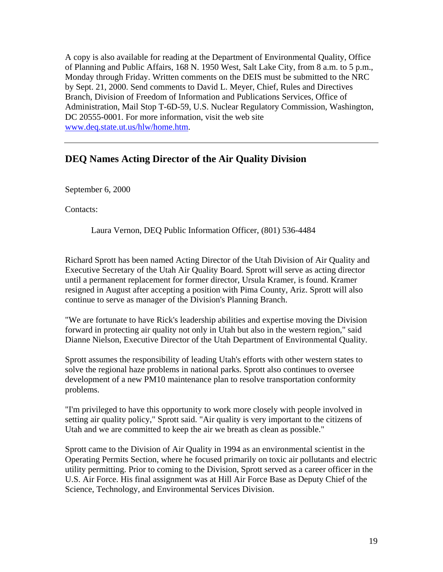A copy is also available for reading at the Department of Environmental Quality, Office of Planning and Public Affairs, 168 N. 1950 West, Salt Lake City, from 8 a.m. to 5 p.m., Monday through Friday. Written comments on the DEIS must be submitted to the NRC by Sept. 21, 2000. Send comments to David L. Meyer, Chief, Rules and Directives Branch, Division of Freedom of Information and Publications Services, Office of Administration, Mail Stop T-6D-59, U.S. Nuclear Regulatory Commission, Washington, DC 20555-0001. For more information, visit the web site www.deq.state.ut.us/hlw/home.htm.

#### **DEQ Names Acting Director of the Air Quality Division**

September 6, 2000

Contacts:

Laura Vernon, DEQ Public Information Officer, (801) 536-4484

Richard Sprott has been named Acting Director of the Utah Division of Air Quality and Executive Secretary of the Utah Air Quality Board. Sprott will serve as acting director until a permanent replacement for former director, Ursula Kramer, is found. Kramer resigned in August after accepting a position with Pima County, Ariz. Sprott will also continue to serve as manager of the Division's Planning Branch.

"We are fortunate to have Rick's leadership abilities and expertise moving the Division forward in protecting air quality not only in Utah but also in the western region," said Dianne Nielson, Executive Director of the Utah Department of Environmental Quality.

Sprott assumes the responsibility of leading Utah's efforts with other western states to solve the regional haze problems in national parks. Sprott also continues to oversee development of a new PM10 maintenance plan to resolve transportation conformity problems.

"I'm privileged to have this opportunity to work more closely with people involved in setting air quality policy," Sprott said. "Air quality is very important to the citizens of Utah and we are committed to keep the air we breath as clean as possible."

Sprott came to the Division of Air Quality in 1994 as an environmental scientist in the Operating Permits Section, where he focused primarily on toxic air pollutants and electric utility permitting. Prior to coming to the Division, Sprott served as a career officer in the U.S. Air Force. His final assignment was at Hill Air Force Base as Deputy Chief of the Science, Technology, and Environmental Services Division.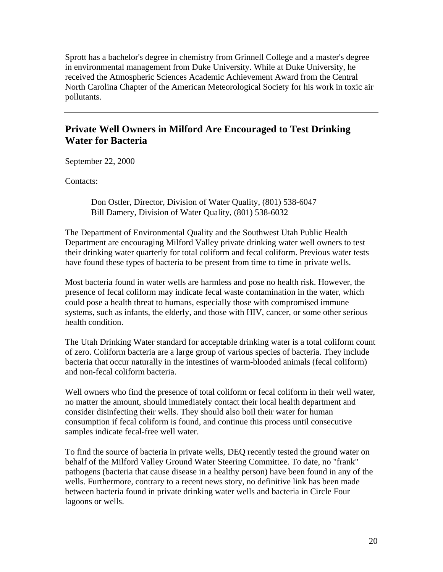Sprott has a bachelor's degree in chemistry from Grinnell College and a master's degree in environmental management from Duke University. While at Duke University, he received the Atmospheric Sciences Academic Achievement Award from the Central North Carolina Chapter of the American Meteorological Society for his work in toxic air pollutants.

# **Private Well Owners in Milford Are Encouraged to Test Drinking Water for Bacteria**

September 22, 2000

Contacts:

Don Ostler, Director, Division of Water Quality, (801) 538-6047 Bill Damery, Division of Water Quality, (801) 538-6032

The Department of Environmental Quality and the Southwest Utah Public Health Department are encouraging Milford Valley private drinking water well owners to test their drinking water quarterly for total coliform and fecal coliform. Previous water tests have found these types of bacteria to be present from time to time in private wells.

Most bacteria found in water wells are harmless and pose no health risk. However, the presence of fecal coliform may indicate fecal waste contamination in the water, which could pose a health threat to humans, especially those with compromised immune systems, such as infants, the elderly, and those with HIV, cancer, or some other serious health condition.

The Utah Drinking Water standard for acceptable drinking water is a total coliform count of zero. Coliform bacteria are a large group of various species of bacteria. They include bacteria that occur naturally in the intestines of warm-blooded animals (fecal coliform) and non-fecal coliform bacteria.

Well owners who find the presence of total coliform or fecal coliform in their well water, no matter the amount, should immediately contact their local health department and consider disinfecting their wells. They should also boil their water for human consumption if fecal coliform is found, and continue this process until consecutive samples indicate fecal-free well water.

To find the source of bacteria in private wells, DEQ recently tested the ground water on behalf of the Milford Valley Ground Water Steering Committee. To date, no "frank" pathogens (bacteria that cause disease in a healthy person) have been found in any of the wells. Furthermore, contrary to a recent news story, no definitive link has been made between bacteria found in private drinking water wells and bacteria in Circle Four lagoons or wells.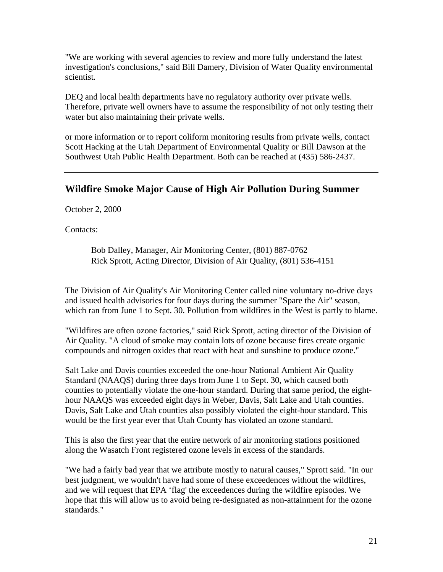"We are working with several agencies to review and more fully understand the latest investigation's conclusions," said Bill Damery, Division of Water Quality environmental scientist.

DEQ and local health departments have no regulatory authority over private wells. Therefore, private well owners have to assume the responsibility of not only testing their water but also maintaining their private wells.

or more information or to report coliform monitoring results from private wells, contact Scott Hacking at the Utah Department of Environmental Quality or Bill Dawson at the Southwest Utah Public Health Department. Both can be reached at (435) 586-2437.

# **Wildfire Smoke Major Cause of High Air Pollution During Summer**

October 2, 2000

Contacts:

Bob Dalley, Manager, Air Monitoring Center, (801) 887-0762 Rick Sprott, Acting Director, Division of Air Quality, (801) 536-4151

The Division of Air Quality's Air Monitoring Center called nine voluntary no-drive days and issued health advisories for four days during the summer "Spare the Air" season, which ran from June 1 to Sept. 30. Pollution from wildfires in the West is partly to blame.

"Wildfires are often ozone factories," said Rick Sprott, acting director of the Division of Air Quality. "A cloud of smoke may contain lots of ozone because fires create organic compounds and nitrogen oxides that react with heat and sunshine to produce ozone."

Salt Lake and Davis counties exceeded the one-hour National Ambient Air Quality Standard (NAAQS) during three days from June 1 to Sept. 30, which caused both counties to potentially violate the one-hour standard. During that same period, the eighthour NAAQS was exceeded eight days in Weber, Davis, Salt Lake and Utah counties. Davis, Salt Lake and Utah counties also possibly violated the eight-hour standard. This would be the first year ever that Utah County has violated an ozone standard.

This is also the first year that the entire network of air monitoring stations positioned along the Wasatch Front registered ozone levels in excess of the standards.

"We had a fairly bad year that we attribute mostly to natural causes," Sprott said. "In our best judgment, we wouldn't have had some of these exceedences without the wildfires, and we will request that EPA 'flag' the exceedences during the wildfire episodes. We hope that this will allow us to avoid being re-designated as non-attainment for the ozone standards."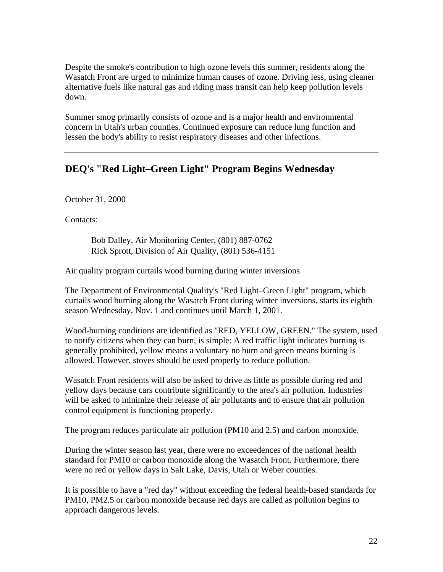Despite the smoke's contribution to high ozone levels this summer, residents along the Wasatch Front are urged to minimize human causes of ozone. Driving less, using cleaner alternative fuels like natural gas and riding mass transit can help keep pollution levels down.

Summer smog primarily consists of ozone and is a major health and environmental concern in Utah's urban counties. Continued exposure can reduce lung function and lessen the body's ability to resist respiratory diseases and other infections.

# **DEQ's "Red Light–Green Light" Program Begins Wednesday**

October 31, 2000

Contacts:

Bob Dalley, Air Monitoring Center, (801) 887-0762 Rick Sprott, Division of Air Quality, (801) 536-4151

Air quality program curtails wood burning during winter inversions

The Department of Environmental Quality's "Red Light–Green Light" program, which curtails wood burning along the Wasatch Front during winter inversions, starts its eighth season Wednesday, Nov. 1 and continues until March 1, 2001.

Wood-burning conditions are identified as "RED, YELLOW, GREEN." The system, used to notify citizens when they can burn, is simple: A red traffic light indicates burning is generally prohibited, yellow means a voluntary no burn and green means burning is allowed. However, stoves should be used properly to reduce pollution.

Wasatch Front residents will also be asked to drive as little as possible during red and yellow days because cars contribute significantly to the area's air pollution. Industries will be asked to minimize their release of air pollutants and to ensure that air pollution control equipment is functioning properly.

The program reduces particulate air pollution (PM10 and 2.5) and carbon monoxide.

During the winter season last year, there were no exceedences of the national health standard for PM10 or carbon monoxide along the Wasatch Front. Furthermore, there were no red or yellow days in Salt Lake, Davis, Utah or Weber counties.

It is possible to have a "red day" without exceeding the federal health-based standards for PM10, PM2.5 or carbon monoxide because red days are called as pollution begins to approach dangerous levels.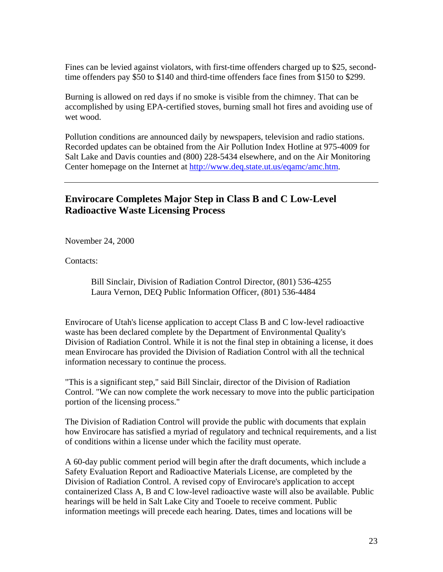Fines can be levied against violators, with first-time offenders charged up to \$25, secondtime offenders pay \$50 to \$140 and third-time offenders face fines from \$150 to \$299.

Burning is allowed on red days if no smoke is visible from the chimney. That can be accomplished by using EPA-certified stoves, burning small hot fires and avoiding use of wet wood.

Pollution conditions are announced daily by newspapers, television and radio stations. Recorded updates can be obtained from the Air Pollution Index Hotline at 975-4009 for Salt Lake and Davis counties and (800) 228-5434 elsewhere, and on the Air Monitoring Center homepage on the Internet at http://www.deq.state.ut.us/eqamc/amc.htm.

# **Envirocare Completes Major Step in Class B and C Low-Level Radioactive Waste Licensing Process**

November 24, 2000

Contacts:

Bill Sinclair, Division of Radiation Control Director, (801) 536-4255 Laura Vernon, DEQ Public Information Officer, (801) 536-4484

Envirocare of Utah's license application to accept Class B and C low-level radioactive waste has been declared complete by the Department of Environmental Quality's Division of Radiation Control. While it is not the final step in obtaining a license, it does mean Envirocare has provided the Division of Radiation Control with all the technical information necessary to continue the process.

"This is a significant step," said Bill Sinclair, director of the Division of Radiation Control. "We can now complete the work necessary to move into the public participation portion of the licensing process."

The Division of Radiation Control will provide the public with documents that explain how Envirocare has satisfied a myriad of regulatory and technical requirements, and a list of conditions within a license under which the facility must operate.

A 60-day public comment period will begin after the draft documents, which include a Safety Evaluation Report and Radioactive Materials License, are completed by the Division of Radiation Control. A revised copy of Envirocare's application to accept containerized Class A, B and C low-level radioactive waste will also be available. Public hearings will be held in Salt Lake City and Tooele to receive comment. Public information meetings will precede each hearing. Dates, times and locations will be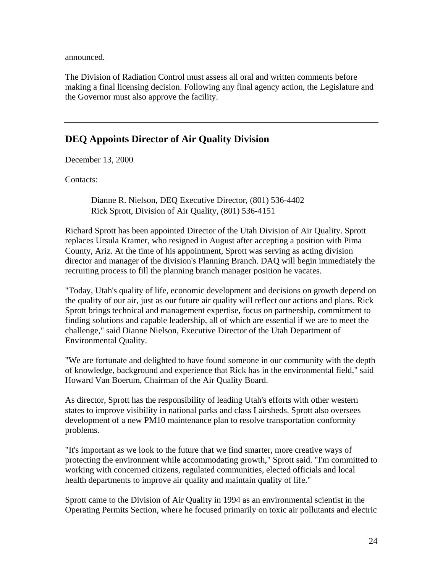announced.

The Division of Radiation Control must assess all oral and written comments before making a final licensing decision. Following any final agency action, the Legislature and the Governor must also approve the facility.

# **DEQ Appoints Director of Air Quality Division**

December 13, 2000

Contacts:

Dianne R. Nielson, DEQ Executive Director, (801) 536-4402 Rick Sprott, Division of Air Quality, (801) 536-4151

Richard Sprott has been appointed Director of the Utah Division of Air Quality. Sprott replaces Ursula Kramer, who resigned in August after accepting a position with Pima County, Ariz. At the time of his appointment, Sprott was serving as acting division director and manager of the division's Planning Branch. DAQ will begin immediately the recruiting process to fill the planning branch manager position he vacates.

"Today, Utah's quality of life, economic development and decisions on growth depend on the quality of our air, just as our future air quality will reflect our actions and plans. Rick Sprott brings technical and management expertise, focus on partnership, commitment to finding solutions and capable leadership, all of which are essential if we are to meet the challenge," said Dianne Nielson, Executive Director of the Utah Department of Environmental Quality.

"We are fortunate and delighted to have found someone in our community with the depth of knowledge, background and experience that Rick has in the environmental field," said Howard Van Boerum, Chairman of the Air Quality Board.

As director, Sprott has the responsibility of leading Utah's efforts with other western states to improve visibility in national parks and class I airsheds. Sprott also oversees development of a new PM10 maintenance plan to resolve transportation conformity problems.

"It's important as we look to the future that we find smarter, more creative ways of protecting the environment while accommodating growth," Sprott said. "I'm committed to working with concerned citizens, regulated communities, elected officials and local health departments to improve air quality and maintain quality of life."

Sprott came to the Division of Air Quality in 1994 as an environmental scientist in the Operating Permits Section, where he focused primarily on toxic air pollutants and electric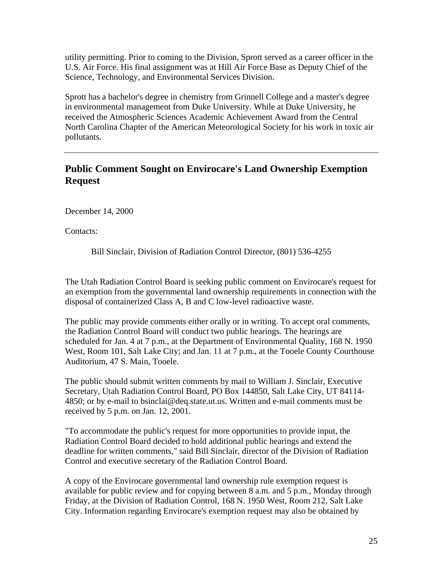utility permitting. Prior to coming to the Division, Sprott served as a career officer in the U.S. Air Force. His final assignment was at Hill Air Force Base as Deputy Chief of the Science, Technology, and Environmental Services Division.

Sprott has a bachelor's degree in chemistry from Grinnell College and a master's degree in environmental management from Duke University. While at Duke University, he received the Atmospheric Sciences Academic Achievement Award from the Central North Carolina Chapter of the American Meteorological Society for his work in toxic air pollutants.

# **Public Comment Sought on Envirocare's Land Ownership Exemption Request**

December 14, 2000

Contacts:

Bill Sinclair, Division of Radiation Control Director, (801) 536-4255

The Utah Radiation Control Board is seeking public comment on Envirocare's request for an exemption from the governmental land ownership requirements in connection with the disposal of containerized Class A, B and C low-level radioactive waste.

The public may provide comments either orally or in writing. To accept oral comments, the Radiation Control Board will conduct two public hearings. The hearings are scheduled for Jan. 4 at 7 p.m., at the Department of Environmental Quality, 168 N. 1950 West, Room 101, Salt Lake City; and Jan. 11 at 7 p.m., at the Tooele County Courthouse Auditorium, 47 S. Main, Tooele.

The public should submit written comments by mail to William J. Sinclair, Executive Secretary, Utah Radiation Control Board, PO Box 144850, Salt Lake City, UT 84114- 4850; or by e-mail to bsinclai@deq.state.ut.us. Written and e-mail comments must be received by 5 p.m. on Jan. 12, 2001.

"To accommodate the public's request for more opportunities to provide input, the Radiation Control Board decided to hold additional public hearings and extend the deadline for written comments," said Bill Sinclair, director of the Division of Radiation Control and executive secretary of the Radiation Control Board.

A copy of the Envirocare governmental land ownership rule exemption request is available for public review and for copying between 8 a.m. and 5 p.m., Monday through Friday, at the Division of Radiation Control, 168 N. 1950 West, Room 212, Salt Lake City. Information regarding Envirocare's exemption request may also be obtained by